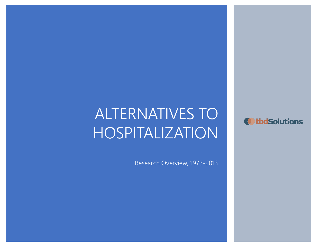# ALTERNATIVES TO HOSPITALIZATION

 $\mathcal{L}^2$  ,  $\mathcal{L}^2$  ,  $\mathcal{L}^2$  ,  $\mathcal{L}^2$  ,  $\mathcal{L}^2$  ,  $\mathcal{L}^2$  ,  $\mathcal{L}^2$  ,  $\mathcal{L}^2$  ,  $\mathcal{L}^2$  ,  $\mathcal{L}^2$  ,  $\mathcal{L}^2$  ,  $\mathcal{L}^2$  ,  $\mathcal{L}^2$  ,  $\mathcal{L}^2$  ,  $\mathcal{L}^2$  ,  $\mathcal{L}^2$  ,  $\mathcal{L}^2$  ,

Research Overview, 1973-2013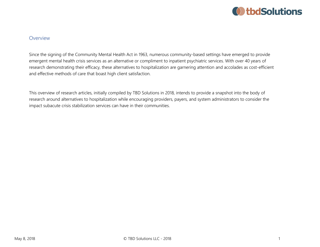

#### **Overview**

Since the signing of the Community Mental Health Act in 1963, numerous community-based settings have emerged to provide emergent mental health crisis services as an alternative or compliment to inpatient psychiatric services. With over 40 years of research demonstrating their efficacy, these alternatives to hospitalization are garnering attention and accolades as cost-efficient and effective methods of care that boast high client satisfaction.

This overview of research articles, initially compiled by TBD Solutions in 2018, intends to provide a snapshot into the body of research around alternatives to hospitalization while encouraging providers, payers, and system administrators to consider the impact subacute crisis stabilization services can have in their communities.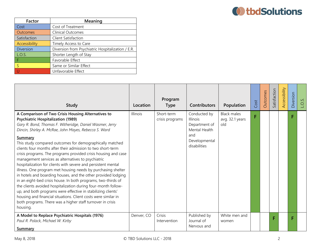

| Factor                  | Meaning                                           |
|-------------------------|---------------------------------------------------|
| Cost                    | Cost of Treatment                                 |
| Outcomes                | <b>Clinical Outcomes</b>                          |
| Satisfaction            | Client Satisfaction                               |
| Accessibility           | Timely Access to Care                             |
| Diversion               | Diversion from Psychiatric Hospitalization / E.R. |
| L.O.S.                  | Shorter Length of Stay                            |
| F                       | Favorable Effect                                  |
| $\overline{\mathsf{S}}$ | Same or Similar Effect                            |
|                         | Unfavorable Effect                                |

| <b>Study</b>                                                                                                                                                                                                                                                                                                                                                                                                                                                                                                                                                                                                                                                                                                                                                                                                                                                                                                                                                                                                                              | Location   | Program<br><b>Type</b>        | <b>Contributors</b>                                                                                       | Population                                   | Cost | Outcomes | Satisfaction | Accessibility | Diversion | O.S. |
|-------------------------------------------------------------------------------------------------------------------------------------------------------------------------------------------------------------------------------------------------------------------------------------------------------------------------------------------------------------------------------------------------------------------------------------------------------------------------------------------------------------------------------------------------------------------------------------------------------------------------------------------------------------------------------------------------------------------------------------------------------------------------------------------------------------------------------------------------------------------------------------------------------------------------------------------------------------------------------------------------------------------------------------------|------------|-------------------------------|-----------------------------------------------------------------------------------------------------------|----------------------------------------------|------|----------|--------------|---------------|-----------|------|
| A Comparison of Two Crisis Housing Alternatives to<br><b>Psychiatric Hospitalization (1989)</b><br>Gary R. Bond, Thomas F. Witheridge, Daniel Wasmer, Jerry<br>Dincin, Shirley A. McRae, John Mayes, Rebecca S. Ward<br><b>Summary</b><br>This study compared outcomes for demographically matched<br>clients four months after their admission to two short-term<br>crisis programs. The programs provided crisis housing and case<br>management services as alternatives to psychiatric<br>hospitalization for clients with severe and persistent mental<br>illness. One program met housing needs by purchasing shelter<br>in hotels and boarding houses, and the other provided lodging<br>in an eight-bed crisis house. In both programs, two-thirds of<br>the clients avoided hospitalization during four-month follow-<br>up, and both programs were effective in stabilizing clients'<br>housing and financial situations. Client costs were similar in<br>both programs. There was a higher staff turnover in crisis<br>housing. | Illinois   | Short-term<br>crisis programs | Conducted by<br><b>Illinois</b><br>Department of<br>Mental Health<br>and<br>Developmental<br>disabilities | <b>Black males</b><br>avg. 32.1 years<br>old | F    |          |              |               | F.        |      |
| A Model to Replace Psychiatric Hospitals (1976)<br>Paul R. Polack, Michael W. Kirby<br>Summary                                                                                                                                                                                                                                                                                                                                                                                                                                                                                                                                                                                                                                                                                                                                                                                                                                                                                                                                            | Denver, CO | Crisis<br>Intervention        | Published by<br>Journal of<br>Nervous and                                                                 | White men and<br>women                       |      |          | г            |               |           |      |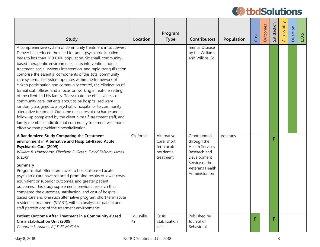| <b>Study</b>                                                                                                                                                                                                                                                                                                                                                                                                                                                                                                                                                                                                                                                                                                                                                                                                                                                                                                                                                                                                                           | Location          | Program<br><b>Type</b>                                               | <b>Contributors</b>                                                                                                                         | Population | Cost | Outcomes | Satisfaction | Accessibility | Diversion | $\overline{O}$ |
|----------------------------------------------------------------------------------------------------------------------------------------------------------------------------------------------------------------------------------------------------------------------------------------------------------------------------------------------------------------------------------------------------------------------------------------------------------------------------------------------------------------------------------------------------------------------------------------------------------------------------------------------------------------------------------------------------------------------------------------------------------------------------------------------------------------------------------------------------------------------------------------------------------------------------------------------------------------------------------------------------------------------------------------|-------------------|----------------------------------------------------------------------|---------------------------------------------------------------------------------------------------------------------------------------------|------------|------|----------|--------------|---------------|-----------|----------------|
| A comprehensive system of community treatment in southwest<br>Denver has reduced the need for adult psychiatric inpatient<br>beds to less than 1/100,000 population. Six small, community-<br>based therapeutic environments, crisis intervention, home<br>treatment, social systems intervention, and rapid tranquilization<br>comprise the essential components of this total community<br>care system. The system operates within the framework of<br>citizen participation and community control, the elimination of<br>formal staff offices, and a focus on working in real-life setting<br>of the client and his family. To evaluate the effectiveness of<br>community care, patients about to be hospitalized were<br>randomly assigned to a psychiatric hospital or to community<br>alternative treatment. Outcome measures at discharge and at<br>follow-up completed by the client himself, treatment staff, and<br>family members indicate that community treatment was more<br>effective than psychiatric hospitalization. |                   |                                                                      | mental Disease<br>by the Williams<br>and Wilkins Co                                                                                         |            |      |          |              |               |           |                |
| A Randomized Study Comparing the Treatment<br>environment in Alternative and Hospital-Based Acute<br>Psychiatric Care (2009)<br>William B. Hawthorne, Elizabeth E. Green, David Folsom, James<br>B. Lohr<br><b>Summary</b><br>Programs that offer alternatives to hospital-based acute<br>psychiatric care have reported promising results of lower costs,<br>equivalent or superior outcomes, and greater patient<br>outcomes. This study supplements previous research that<br>compared the outcomes, satisfaction, and cost of hospital-<br>based care and one such alternative program, short term acute<br>residential treatment (START), with an analysis of patient and<br>staff perceptions of the treatment environments.                                                                                                                                                                                                                                                                                                     | California        | Alternative<br>Care, short<br>term acute<br>residential<br>treatment | Grant funded<br>through the<br><b>Health Services</b><br>Research and<br>Development<br>Service of the<br>Veterans Health<br>Administration | Veterans   |      |          | F            |               |           |                |
| Patient Outcome After Treatment in a Community-Based<br><b>Crisis Stabilization Unit (2009)</b><br>Charlotte L. Adams, Rif S. El-Mallakh                                                                                                                                                                                                                                                                                                                                                                                                                                                                                                                                                                                                                                                                                                                                                                                                                                                                                               | Louisville,<br>KY | Crisis<br>Stabilization<br>Unit                                      | Published by<br>Journal of<br>Behavioral                                                                                                    |            | F    |          | F            |               |           |                |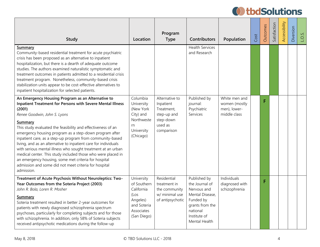| <b>Study</b>                                                                                                                                                                                                                                                                                                                                                                                                                                                                                                                                                                                                                                                                                         | Location                                                                                                | Program<br><b>Type</b>                                                                         | <b>Contributors</b>                                                                                                                           | Population                                                     | Cost | Outcomes | Satisfaction | Accessibility | Diversion | LO <sub>S</sub> . |
|------------------------------------------------------------------------------------------------------------------------------------------------------------------------------------------------------------------------------------------------------------------------------------------------------------------------------------------------------------------------------------------------------------------------------------------------------------------------------------------------------------------------------------------------------------------------------------------------------------------------------------------------------------------------------------------------------|---------------------------------------------------------------------------------------------------------|------------------------------------------------------------------------------------------------|-----------------------------------------------------------------------------------------------------------------------------------------------|----------------------------------------------------------------|------|----------|--------------|---------------|-----------|-------------------|
| Summary<br>Community-based residential treatment for acute psychiatric<br>crisis has been proposed as an alternative to inpatient<br>hospitalization, but there is a dearth of adequate outcome<br>studies. The authors examined naturalistic symptomatic and<br>treatment outcomes in patients admitted to a residential crisis<br>treatment program. Nonetheless, community-based crisis<br>stabilization units appear to be cost-effective alternatives to<br>inpatient hospitalization for selected patients.                                                                                                                                                                                    |                                                                                                         |                                                                                                | <b>Health Services</b><br>and Research                                                                                                        |                                                                |      |          |              |               |           |                   |
| An Emergency Housing Program as an Alternative to<br><b>Inpatient Treatment for Persons with Severe Mental Illness</b><br>(2001)<br>Renee Goodwin, John S. Lyons<br>Summary<br>This study evaluated the feasibility and effectiveness of an<br>emergency housing program as a step-down program after<br>inpatient care, as a step-up program from community-based<br>living, and as an alternative to inpatient care for individuals<br>with serious mental illness who sought treatment at an urban<br>medical center. This study included those who were placed in<br>an emergency housing, some met criteria for hospital<br>admission and some did not meet criteria for hospital<br>admission. | Columbia<br>University<br>(New York<br>City) and<br>Northweste<br>rn<br>University<br>(Chicago)         | Alternative to<br>Inpatient<br>Treatment,<br>step-up and<br>step-down<br>used as<br>comparison | Published by<br>journal:<br>Psychiatric<br>Services                                                                                           | White men and<br>women (mostly<br>men), lower-<br>middle class |      | F        |              |               |           |                   |
| Treatment of Acute Psychosis Without Neuroleptics: Two-<br>Year Outcomes from the Soteria Project (2003)<br>John R. Bola, Loren R. Mosher<br><b>Summary</b><br>Soteria treatment resulted in better 2-year outcomes for<br>patients with newly diagnosed schizophrenia spectrum<br>psychoses, particularly for completing subjects and for those<br>with schizophrenia. In addition, only 58% of Soteria subjects<br>received antipsychotic medications during the follow-up                                                                                                                                                                                                                         | University<br>of Southern<br>California<br>(Los<br>Angeles)<br>and Soteria<br>Associates<br>(San Diego) | Residential<br>treatment in<br>the community<br>w/ minimal use<br>of antipsychotic             | Published by<br>the Journal of<br>Nervous and<br>Mental Disease,<br>Funded by<br>grants from the<br>national<br>Institute of<br>Mental Health | Individuals<br>diagnosed with<br>schizophrenia                 |      | F        |              |               |           |                   |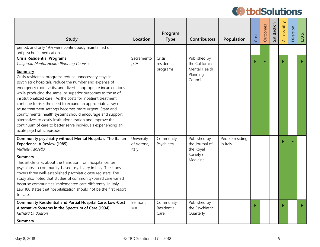| Study                                                                                                                                                                                                                                                                                                                                                                                                                                                                                                                                                                                                                                                                                                                                                                  | Location                          | Program<br><b>Type</b>            | <b>Contributors</b>                                                    | Population                  | Cost | Outcomes | Satisfaction | Accessibility | Diversion | LO.S. |
|------------------------------------------------------------------------------------------------------------------------------------------------------------------------------------------------------------------------------------------------------------------------------------------------------------------------------------------------------------------------------------------------------------------------------------------------------------------------------------------------------------------------------------------------------------------------------------------------------------------------------------------------------------------------------------------------------------------------------------------------------------------------|-----------------------------------|-----------------------------------|------------------------------------------------------------------------|-----------------------------|------|----------|--------------|---------------|-----------|-------|
| period, and only 19% were continuously maintained on<br>antipsychotic medications.                                                                                                                                                                                                                                                                                                                                                                                                                                                                                                                                                                                                                                                                                     |                                   |                                   |                                                                        |                             |      |          |              |               |           |       |
| <b>Crisis Residential Programs</b><br>California Mental Health Planning Counsel<br>Summary<br>Crisis residential programs reduce unnecessary stays in<br>psychiatric hospitals, reduce the number and expense of<br>emergency room visits, and divert inappropriate incarcerations<br>while producing the same, or superior outcomes to those of<br>institutionalized care. As the costs for inpatient treatment<br>continue to rise, the need to expand an appropriate array of<br>acute treatment settings becomes more urgent. State and<br>county mental health systems should encourage and support<br>alternatives to costly institutionalization and improve the<br>continuum of care to better serve individuals experiencing an<br>acute psychiatric episode. | Sacramento<br>, CA                | Crisis<br>residential<br>programs | Published by<br>the California<br>Mental Health<br>Planning<br>Council |                             | F    | F        |              | F.            |           | F     |
| Community psychiatry without Mental Hospitals-The Italian<br>Experience: A Review (1985)<br>Michele Tansella<br><b>Summary</b><br>This article talks about the transition from hospital center<br>psychiatry to community-based psychiatry in Italy. The study<br>covers three well-established psychiatric case registers. The<br>study also noted that studies of community-based care varied<br>because communities implemented care differently. In Italy,<br>Law 180 states that hospitalization should not be the first resort<br>to care.                                                                                                                                                                                                                       | University<br>of Verona,<br>Italy | Community<br>Psychiatry           | Published by<br>the Journal of<br>the Royal<br>Society of<br>Medicine  | People residing<br>in Italy |      |          |              | F.            |           |       |
| <b>Community Residential and Partial Hospital Care: Low-Cost</b><br>Alternative Systems in the Spectrum of Care (1994)<br>Richard D. Budson<br>Summary                                                                                                                                                                                                                                                                                                                                                                                                                                                                                                                                                                                                                 | Belmont,<br>MA                    | Community<br>Residential<br>Care  | Published by<br>the Psychiatric<br>Quarterly                           |                             |      |          |              | E.            |           | F     |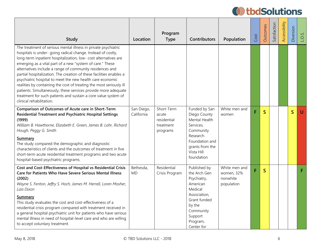| <b>Study</b>                                                                                                                                                                                                                                                                                                                                                                                                                                                                                                                                                                                                                                                                                          | Location                 | Program<br><b>Type</b>                                      | Contributors                                                                                                                                                   | Population                                            | Cost | Outcomes                | Satisfaction | Accessibility | Diversion    | $\overline{O}$ |
|-------------------------------------------------------------------------------------------------------------------------------------------------------------------------------------------------------------------------------------------------------------------------------------------------------------------------------------------------------------------------------------------------------------------------------------------------------------------------------------------------------------------------------------------------------------------------------------------------------------------------------------------------------------------------------------------------------|--------------------------|-------------------------------------------------------------|----------------------------------------------------------------------------------------------------------------------------------------------------------------|-------------------------------------------------------|------|-------------------------|--------------|---------------|--------------|----------------|
| The treatment of serious mental illness in private psychiatric<br>hospitals is under- going radical change. Instead of costly,<br>long-term inpatient hospitalization, low- cost alternatives are<br>emerging as a vital part of a new "system of care." These<br>alternatives include a range of community residences and<br>partial hospitalization. The creation of these facilities enables a<br>psychiatric hospital to meet the new health care economic<br>realities by containing the cost of treating the most seriously ill<br>patients. Simultaneously, these services provide more adequate<br>treatment for such patients and sustain a core value system of<br>clinical rehabilitation. |                          |                                                             |                                                                                                                                                                |                                                       |      |                         |              |               |              |                |
| Comparison of Outcomes of Acute care in Short-Term<br>Residential Treatment and Psychiatric Hospital Settings<br>(1999)<br>William B. Hawthorne, Elizabeth E. Green, James B. Lohr, Richard<br>Hough, Peggy G. Smith<br>Summary<br>The study compared the demographic and diagnostic<br>characteristics of clients and the outcomes of treatment in five<br>short-term acute residential treatment programs and two acute<br>hospital-based psychiatric programs.                                                                                                                                                                                                                                     | San Diego,<br>California | Short-Term<br>acute<br>residential<br>treatment<br>programs | Funded by San<br>Diego County<br>Mental Health<br>Services,<br>Community<br>Research<br>Foundation and<br>grants from the<br>Vista Hill<br>foundation          | White men and<br>women                                | Ë    | $\overline{\mathsf{S}}$ |              |               | $\mathsf{S}$ | U              |
| Cost and Cost-Effectiveness of Hospital vs Residential Crisis<br><b>Care for Patients Who Have Severe Serious Mental Illness</b><br>(2002)<br>Wayne S. Fenton, Jeffry S. Hoch, James M. Herrell, Loren Mosher,<br>Liza Dixon<br>Summary<br>This study evaluates the cost and cost-effectiveness of a<br>residential crisis program compared with treatment received in<br>a general hospital psychiatric unit for patients who have serious<br>mental illness in need of hospital-level care and who are willing<br>to accept voluntary treatment.                                                                                                                                                    | Bethesda,<br>MD          | Residential<br>Crisis Program                               | Published by<br>the Arch Gen<br>Psychiatry,<br>American<br>Medical<br>Association,<br>Grant funded<br>by the<br>Community<br>Support<br>Program,<br>Center for | White men and<br>women, 32%<br>nonwhite<br>population | F    | $\overline{\mathsf{S}}$ |              |               |              | F              |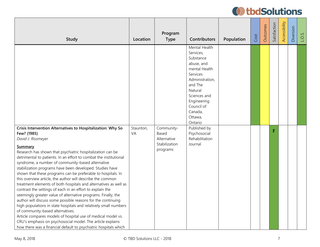| <b>Study</b>                                                                                                                                                                                                                                                                                                                                                                                                                                                                                                                                                                                                                                                                                                                                                                                                                                                                                                                            | Location        | Program<br><b>Type</b>                                          | <b>Contributors</b>                                                                                                                                                                                                                                                    | Population | Cost | Outcomes | Satisfaction | Accessibility | Diversion | $\overline{O}$ |
|-----------------------------------------------------------------------------------------------------------------------------------------------------------------------------------------------------------------------------------------------------------------------------------------------------------------------------------------------------------------------------------------------------------------------------------------------------------------------------------------------------------------------------------------------------------------------------------------------------------------------------------------------------------------------------------------------------------------------------------------------------------------------------------------------------------------------------------------------------------------------------------------------------------------------------------------|-----------------|-----------------------------------------------------------------|------------------------------------------------------------------------------------------------------------------------------------------------------------------------------------------------------------------------------------------------------------------------|------------|------|----------|--------------|---------------|-----------|----------------|
| Crisis Intervention Alternatives to Hospitalization: Why So<br>Few? (1985)<br>David J. Rissmeyer<br>Summary<br>Research has shown that psychiatric hospitalization can be<br>detrimental to patients. In an effort to combat the institutional<br>syndrome, a number of community-based alternative<br>stabilization programs have been developed. Studies have<br>shown that these programs can be preferable to hospitals. In<br>this overview article, the author will describe the common<br>treatment elements of both hospitals and alternatives as well as<br>contrast the settings of each in an effort to explain the<br>seemingly greater value of alternative programs. Finally, the<br>author will discuss some possible reasons for the continuing<br>high populations in state hospitals and relatively small numbers<br>of community-based alternatives.<br>Article compares models of hospital use of medical model vs. | Staunton,<br>VA | Community-<br>Based<br>Alternative<br>Stabilization<br>programs | Mental Health<br>Services,<br>Substance<br>abuse, and<br>mental Health<br>Services<br>Administration,<br>and The<br>Natural<br>Sciences and<br>Engineering<br>Council of<br>Canada,<br>Ottawa,<br>Ontario<br>Published by<br>Psychosocial<br>Rehabilitation<br>Journal |            |      |          | F            |               |           |                |
| CRU's emphasis on psychosocial model. The article explains<br>how there was a financial default to psychiatric hospitals which                                                                                                                                                                                                                                                                                                                                                                                                                                                                                                                                                                                                                                                                                                                                                                                                          |                 |                                                                 |                                                                                                                                                                                                                                                                        |            |      |          |              |               |           |                |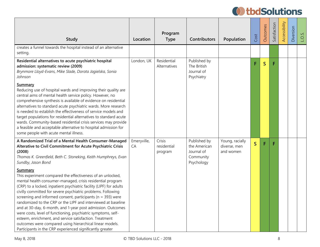| Study                                                                                                                                                                                                                                                                                                                                                                                                                                                                                                                                                                                                                                                                                                                                                                                                                                                                                            | Location          | Program<br><b>Type</b>           | <b>Contributors</b>                                                   | Population                                   | Cost         | Outcomes    | Satisfaction | Accessibility | Diversion | $\overline{O}$ |
|--------------------------------------------------------------------------------------------------------------------------------------------------------------------------------------------------------------------------------------------------------------------------------------------------------------------------------------------------------------------------------------------------------------------------------------------------------------------------------------------------------------------------------------------------------------------------------------------------------------------------------------------------------------------------------------------------------------------------------------------------------------------------------------------------------------------------------------------------------------------------------------------------|-------------------|----------------------------------|-----------------------------------------------------------------------|----------------------------------------------|--------------|-------------|--------------|---------------|-----------|----------------|
| creates a funnel towards the hospital instead of an alternative<br>setting.                                                                                                                                                                                                                                                                                                                                                                                                                                                                                                                                                                                                                                                                                                                                                                                                                      |                   |                                  |                                                                       |                                              |              |             |              |               |           |                |
| Residential alternatives to acute psychiatric hospital<br>admission: systematic review (2009)<br>Brynmore Lloyd-Evans, Mike Slade, Dorota Jagielska, Sonia<br>Johnson<br><b>Summary</b><br>Reducing use of hospital wards and improving their quality are<br>central aims of mental health service policy. However, no<br>comprehensive synthesis is available of evidence on residential<br>alternatives to standard acute psychiatric wards. More research<br>is needed to establish the effectiveness of service models and<br>target populations for residential alternatives to standard acute<br>wards. Community-based residential crisis services may provide<br>a feasible and acceptable alternative to hospital admission for<br>some people with acute mental illness.                                                                                                               | London, UK        | Residential<br>Alternatives      | Published by<br>The British<br>Journal of<br>Psychiatry               |                                              | F            | $\mathsf S$ | F            |               |           |                |
| A Randomized Trial of a Mental Health Consumer-Managed<br>Alterative to Civil Commitment for Acute Psychiatric Crisis<br>(2008)<br>Thomas K. Greenfield, Beth C. Stoneking, Keith Humphreys, Evan<br>Sundby, Jason Bond<br>Summary<br>This experiment compared the effectiveness of an unlocked,<br>mental health consumer-managed, crisis residential program<br>(CRP) to a locked, inpatient psychiatric facility (LIPF) for adults<br>civilly committed for severe psychiatric problems. Following<br>screening and informed consent, participants ( $n = 393$ ) were<br>randomized to the CRP or the LIPF and interviewed at baseline<br>and at 30-day, 6-month, and 1-year post admission. Outcomes<br>were costs, level of functioning, psychiatric symptoms, self-<br>esteem, enrichment, and service satisfaction. Treatment<br>outcomes were compared using hierarchical linear models. | Emeryville,<br>CA | Crisis<br>residential<br>program | Published by<br>the American<br>Journal of<br>Community<br>Psychology | Young, racially<br>diverse, men<br>and women | $\mathsf{S}$ | F           | F            |               |           |                |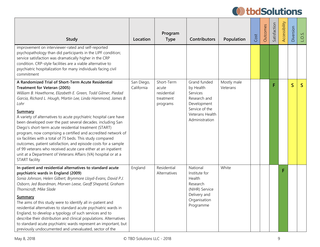| <b>Study</b>                                                                                                                                                                                                                                                                                                                                                                                                                                                                                                                                                                                                                                                                                                                                                                                               | Location                 | Program<br><b>Type</b>                                      | <b>Contributors</b>                                                                                                         | Population              | Cost | Outcomes | Satisfaction | Accessibility | Diversion               | LO <sub>S</sub> |
|------------------------------------------------------------------------------------------------------------------------------------------------------------------------------------------------------------------------------------------------------------------------------------------------------------------------------------------------------------------------------------------------------------------------------------------------------------------------------------------------------------------------------------------------------------------------------------------------------------------------------------------------------------------------------------------------------------------------------------------------------------------------------------------------------------|--------------------------|-------------------------------------------------------------|-----------------------------------------------------------------------------------------------------------------------------|-------------------------|------|----------|--------------|---------------|-------------------------|-----------------|
| improvement on interviewer-rated and self-reported<br>psychopathology than did participants in the LIPF condition;<br>service satisfaction was dramatically higher in the CRP<br>condition. CRP-style facilities are a viable alternative to<br>psychiatric hospitalization for many individuals facing civil<br>commitment                                                                                                                                                                                                                                                                                                                                                                                                                                                                                |                          |                                                             |                                                                                                                             |                         |      |          |              |               |                         |                 |
| A Randomized Trial of Short-Term Acute Residential<br>Treatment for Veteran (2005)<br>William B. Hawthorne, Elizabeth E. Green, Todd Gilmer, Piedad<br>Garcia, Richard L. Hough, Martin Lee, Linda Hammond, James B.<br>Lohr<br><b>Summary</b><br>A variety of alternatives to acute psychiatric hospital care have<br>been developed over the past several decades. including San<br>Diego's short-term acute residential treatment (START)<br>program, now comprising a certified and accredited network of<br>six facilities with a total of 75 beds. This study compared<br>outcomes, patient satisfaction, and episode costs for a sample<br>of 99 veterans who received acute care either at an inpatient<br>unit at a Department of Veterans Affairs (VA) hospital or at a<br><b>START</b> facility | San Diego,<br>California | Short-Term<br>acute<br>residential<br>treatment<br>programs | Grand funded<br>by Health<br>Services<br>Research and<br>Development<br>Service of the<br>Veterans Health<br>Administration | Mostly male<br>Veterans |      |          | F            |               | $\overline{\mathsf{S}}$ | $\mathsf{S}$    |
| In-patient and residential alternatives to standard acute<br>psychiatric wards in England (2009)<br>Sonia Johnson, Helen Gilbert, Brynmore Lloyd-Evans, David P.J.<br>Osborn, Jed Boardman, Morven Leese, Geoff Shepartd, Graham<br>Thornicroft, Mike Slade<br><b>Summary</b><br>The aims of this study were to identify all in-patient and<br>residential alternatives to standard acute psychiatric wards in<br>England, to develop a typology of such services and to<br>describe their distribution and clinical populations. Alternatives<br>to standard acute psychiatric wards represent an important, but<br>previously undocumented and unevaluated, sector of the                                                                                                                                | England                  | Residential<br>Alternatives                                 | National<br>Institute for<br>Health<br>Research<br>(NIHR) Service<br>Delivery and<br>Organisation<br>Programme              | White                   |      |          |              |               |                         |                 |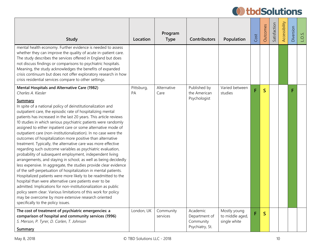| <b>Study</b>                                                                                                                                                                                                                                                                                                                                                                                                                                                                                                                                                                                                                                                                                                                                                                                                                                                                                                                                                                                                                                                                                                                                                                                                                                     | Location                | Program<br><b>Type</b> | <b>Contributors</b>                    | Population                                      | Cost | <b>Outcomes</b> | Satisfaction | Accessibility | Diversion | $\overline{O}$ |
|--------------------------------------------------------------------------------------------------------------------------------------------------------------------------------------------------------------------------------------------------------------------------------------------------------------------------------------------------------------------------------------------------------------------------------------------------------------------------------------------------------------------------------------------------------------------------------------------------------------------------------------------------------------------------------------------------------------------------------------------------------------------------------------------------------------------------------------------------------------------------------------------------------------------------------------------------------------------------------------------------------------------------------------------------------------------------------------------------------------------------------------------------------------------------------------------------------------------------------------------------|-------------------------|------------------------|----------------------------------------|-------------------------------------------------|------|-----------------|--------------|---------------|-----------|----------------|
| mental health economy. Further evidence is needed to assess<br>whether they can improve the quality of acute in-patient care.<br>The study describes the services offered in England but does<br>not discuss findings or comparisons to psychiatric hospitals.<br>Meaning, the study acknowledges the benefits of expanded<br>crisis continuum but does not offer exploratory research in how<br>crisis residential services compare to other settings.                                                                                                                                                                                                                                                                                                                                                                                                                                                                                                                                                                                                                                                                                                                                                                                          |                         |                        |                                        |                                                 |      |                 |              |               |           |                |
| Mental Hospitals and Alternative Care (1982)<br>Charles A. Kiesler                                                                                                                                                                                                                                                                                                                                                                                                                                                                                                                                                                                                                                                                                                                                                                                                                                                                                                                                                                                                                                                                                                                                                                               | Pittsburg,<br><b>PA</b> | Alternative<br>Care    | Published by<br>the American           | Varied between<br>studies                       | F    | $\mathsf{S}$    |              |               | F         |                |
| Summary<br>In spite of a national policy of deinstitutionalization and<br>outpatient care, the episodic rate of hospitalizing mental<br>patients has increased in the last 20 years. This article reviews<br>10 studies in which serious psychiatric patients were randomly<br>assigned to either inpatient care or some alternative mode of<br>outpatient care (non-institutionalization). In no case were the<br>outcomes of hospitalization more positive than alternative<br>treatment. Typically, the alternative care was more effective<br>regarding such outcome variables as psychiatric evaluation,<br>probability of subsequent employment, independent living<br>arrangements, and staying in school, as well as being decidedly<br>less expensive. In aggregate, the studies provide clear evidence<br>of the self-perpetuation of hospitalization in mental patients.<br>Hospitalized patients were more likely to be readmitted to the<br>hospital than were alternative care patients ever to be<br>admitted. Implications for non-institutionalization as public<br>policy seem clear. Various limitations of this work for policy<br>may be overcome by more extensive research oriented<br>specifically to the policy issues. |                         |                        | Psychologist                           |                                                 |      |                 |              |               |           |                |
| The cost of treatment of psychiatric emergencies: a<br>comparison of hospital and community services (1996)<br>S. Merson, P. Tyrer, D. Carlen, T. Johnson                                                                                                                                                                                                                                                                                                                                                                                                                                                                                                                                                                                                                                                                                                                                                                                                                                                                                                                                                                                                                                                                                        | London, UK              | Community<br>services  | Academic<br>Department of<br>Community | Mostly young<br>to middle aged,<br>single white | F    | S               |              |               |           |                |
| <b>Summary</b>                                                                                                                                                                                                                                                                                                                                                                                                                                                                                                                                                                                                                                                                                                                                                                                                                                                                                                                                                                                                                                                                                                                                                                                                                                   |                         |                        | Psychiatry, St.                        |                                                 |      |                 |              |               |           |                |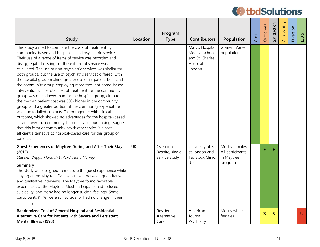| <b>Study</b>                                                                                                                                                                                                                                                                                                                                                                                                                                                                                                                                                                                                                                                                                                                                                                                                                                                                                                                                                                                                                                                                                         | Location  | Program<br><b>Type</b>                        | <b>Contributors</b>                                                         | Population                                                   | Cost | Outcomes     | Satisfaction            | Accessibility | Diversion | v.<br>$\overline{O}$ . |
|------------------------------------------------------------------------------------------------------------------------------------------------------------------------------------------------------------------------------------------------------------------------------------------------------------------------------------------------------------------------------------------------------------------------------------------------------------------------------------------------------------------------------------------------------------------------------------------------------------------------------------------------------------------------------------------------------------------------------------------------------------------------------------------------------------------------------------------------------------------------------------------------------------------------------------------------------------------------------------------------------------------------------------------------------------------------------------------------------|-----------|-----------------------------------------------|-----------------------------------------------------------------------------|--------------------------------------------------------------|------|--------------|-------------------------|---------------|-----------|------------------------|
| This study aimed to compare the costs of treatment by<br>community-based and hospital-based psychiatric services.<br>Their use of a range of items of service was recorded and<br>disaggregated costings of these items of service was<br>calculated. The use of non-psychiatric services was similar for<br>both groups, but the use of psychiatric services differed, with<br>the hospital group making greater use of in-patient beds and<br>the community group employing more frequent home-based<br>interventions. The total cost of treatment for the community<br>group was much lower than for the hospital group, although<br>the median patient cost was 50% higher in the community<br>group, and a greater portion of the community expenditure<br>was due to failed contacts. Taken together with clinical<br>outcome, which showed no advantages for the hospital-based<br>service over the community-based service, our findings suggest<br>that this form of community psychiatry service is a cost-<br>efficient alternative to hospital-based care for this group of<br>patients. |           |                                               | Mary's Hospital<br>Medical school<br>and St. Charles<br>Hospital<br>London, | women. Varied<br>population                                  |      |              |                         |               |           |                        |
| <b>Guest Experiences of Maytree During and After Their Stay</b><br>(2012)<br>Stephen Briggs, Hannah Linford, Anna Harvey<br><b>Summary</b><br>The study was designed to measure the quest experience while<br>staying at the Maytree. Data was mixed between quantitative<br>and qualitative interviews. The Maytree found favorable<br>experiences at the Maytree. Most participants had reduced<br>suicidality, and many had no longer suicidal feelings. Some<br>participants (14%) were still suicidal or had no change in their<br>suicidality.                                                                                                                                                                                                                                                                                                                                                                                                                                                                                                                                                 | <b>UK</b> | Overnight<br>Respite, single<br>service study | University of Ea<br>st London and<br>Tavistock Clinic,<br>UK                | Mostly females.<br>All participants<br>in Maytree<br>program |      | F            | F                       |               |           |                        |
| Randomized Trial of General Hospital and Residential<br>Alternative Care for Patients with Severe and Persistent<br>Mental Illness (1998)                                                                                                                                                                                                                                                                                                                                                                                                                                                                                                                                                                                                                                                                                                                                                                                                                                                                                                                                                            |           | Residential<br>Alternative<br>Care            | American<br>Journal<br>Psychiatry                                           | Mostly white<br>females                                      |      | $\mathsf{S}$ | $\overline{\mathsf{S}}$ |               |           | $\cup$                 |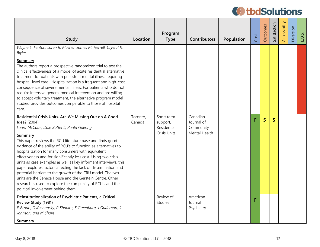| <b>Study</b>                                                                                                                                                                                                                                                                                                                                                                                                                                                                                                                                                                                                                                                                                                                                                                    | Location           | Program<br><b>Type</b>                                | <b>Contributors</b>                                  | Population | Cost | Outcomes     | Satisfaction | Accessibility | Diversion | $\overline{M}$<br>$\overline{O}$ . |
|---------------------------------------------------------------------------------------------------------------------------------------------------------------------------------------------------------------------------------------------------------------------------------------------------------------------------------------------------------------------------------------------------------------------------------------------------------------------------------------------------------------------------------------------------------------------------------------------------------------------------------------------------------------------------------------------------------------------------------------------------------------------------------|--------------------|-------------------------------------------------------|------------------------------------------------------|------------|------|--------------|--------------|---------------|-----------|------------------------------------|
| Wayne S. Fenton, Loren R. Mosher, James M. Herrell, Crystal R.<br>Blyler<br>Summary<br>The authors report a prospective randomized trial to test the<br>clinical effectiveness of a model of acute residential alternative<br>treatment for patients with persistent mental illness requiring<br>hospital-level care. Hospitalization is a frequent and high-cost<br>consequence of severe mental illness. For patients who do not<br>require intensive general medical intervention and are willing<br>to accept voluntary treatment, the alternative program model<br>studied provides outcomes comparable to those of hospital                                                                                                                                               |                    |                                                       |                                                      |            |      |              |              |               |           |                                    |
| care.<br>Residential Crisis Units. Are We Missing Out on A Good<br><b>Idea?</b> (2004)<br>Laura McCabe, Dale Butterill, Paula Goering<br>Summary<br>This paper reviews the RCU literature base and finds good<br>evidence of the ability of RCU's to function as alternatives to<br>hospitalization for many consumers with equivalent<br>effectiveness and for significantly less cost. Using two crisis<br>units as case examples as well as key informant interviews, this<br>paper explores factors affecting the lack of dissemination and<br>potential barriers to the growth of the CRU model. The two<br>units are the Seneca House and the Gerstein Centre. Other<br>research is used to explore the complexity of RCU's and the<br>political involvement behind them. | Toronto,<br>Canada | Short term<br>support,<br>Residential<br>Crisis Units | Canadian<br>Journal of<br>Community<br>Mental Health |            | F    | $\mathsf{S}$ | $\mathsf{S}$ |               |           |                                    |
| Deinstitutionalization of Psychiatric Patients, a Critical<br>Review Study (1981)<br>P Braun, G Kochansky, R Shapiro, S Greenburg, J Gudeman, S<br>Johnson, and M Shore<br>Summary                                                                                                                                                                                                                                                                                                                                                                                                                                                                                                                                                                                              |                    | Review of<br><b>Studies</b>                           | American<br>Journal<br>Psychiatry                    |            | F    |              |              |               |           |                                    |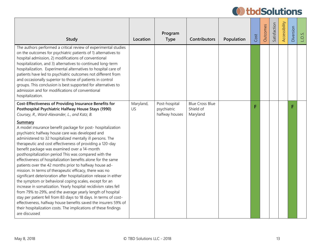| <b>Study</b>                                                                                                                                                                                                                                                                                                                                                                                                                                                                                                                                                                                                                                                                                                                                                                                                                                                                                                                                                                                                                                                                                                                                                                                                    | Location        | Program<br><b>Type</b>                         | <b>Contributors</b>                             | Population | Cost | Outcomes | Satisfaction | Accessibility | Diversion | n<br>$\overline{O}$ |
|-----------------------------------------------------------------------------------------------------------------------------------------------------------------------------------------------------------------------------------------------------------------------------------------------------------------------------------------------------------------------------------------------------------------------------------------------------------------------------------------------------------------------------------------------------------------------------------------------------------------------------------------------------------------------------------------------------------------------------------------------------------------------------------------------------------------------------------------------------------------------------------------------------------------------------------------------------------------------------------------------------------------------------------------------------------------------------------------------------------------------------------------------------------------------------------------------------------------|-----------------|------------------------------------------------|-------------------------------------------------|------------|------|----------|--------------|---------------|-----------|---------------------|
| The authors performed a critical review of experimental studies<br>on the outcomes for psychiatric patients of 1) alternatives to<br>hospital admission, 2) modifications of conventional<br>hospitalization, and 3) alternatives to continued long-term<br>hospitalization. Experimental alternatives to hospital care of<br>patients have led to psychiatric outcomes not different from<br>and occasionally superior to those of patients in control<br>groups. This conclusion is best supported for alternatives to<br>admission and for modifications of conventional<br>hospitalization.                                                                                                                                                                                                                                                                                                                                                                                                                                                                                                                                                                                                                 |                 |                                                |                                                 |            |      |          |              |               |           |                     |
| Cost-Effectiveness of Providing Insurance Benefits for<br>Posthospital Psychiatric Halfway House Stays (1990)<br>Coursey, R., Ward-Alexander, L., and Katz, B.<br>Summary<br>A model insurance benefit package for post- hospitalization<br>psychiatric halfway house care was developed and<br>administered to 32 hospitalized mentally ill persons. The<br>therapeutic and cost effectiveness of providing a 120-day<br>benefit package was examined over a 14-month<br>posthospitalization period This was compared with the<br>effectiveness of hospitalization benefits alone for the same<br>patients over the 42 months prior to halfway house ad-<br>mission. In terms of therapeutic efficacy, there was no<br>significant deterioration after hospitalization release in either<br>the symptom or behavioral coping scales, except for an<br>increase in somatization. Yearly hospital recidivism rates fell<br>from 79% to 29%, and the average yearly length of hospital<br>stay per patient fell from 83 days to 18 days. In terms of cost-<br>effectiveness, halfway house benefits saved the insurers 59% of<br>their hospitalization costs. The implications of these findings<br>are discussed | Maryland,<br>US | Post-hospital<br>psychiatric<br>halfway houses | <b>Blue Cross Blue</b><br>Shield of<br>Maryland |            |      |          |              |               |           |                     |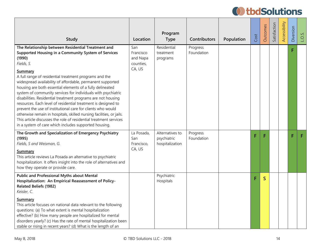| <b>Study</b>                                                                                                                                                                                                                                                                                                                                                                                                                                                                                                                                                                                                                                                                                                                                                                                             | Location                                            | Program<br><b>Type</b>                            | <b>Contributors</b>    | Population | Cost | Outcomes | Satisfaction | Accessibility | Diversion | $\overline{O}$ . |
|----------------------------------------------------------------------------------------------------------------------------------------------------------------------------------------------------------------------------------------------------------------------------------------------------------------------------------------------------------------------------------------------------------------------------------------------------------------------------------------------------------------------------------------------------------------------------------------------------------------------------------------------------------------------------------------------------------------------------------------------------------------------------------------------------------|-----------------------------------------------------|---------------------------------------------------|------------------------|------------|------|----------|--------------|---------------|-----------|------------------|
| The Relationship between Residential Treatment and<br>Supported Housing in a Community System of Services<br>(1990)<br>Fields, S.<br>Summary<br>A full range of residential treatment programs and the<br>widespread availability of affordable, permanent supported<br>housing are both essential elements of a fully delineated<br>system of community services for individuals with psychiatric<br>disabilities. Residential treatment programs are not housing<br>resources. Each level of residential treatment is designed to<br>prevent the use of institutional care for clients who would<br>otherwise remain in hospitals, skilled nursing facilities, or jails.<br>This article discusses the role of residential treatment services<br>in a system of care which includes supported housing. | San<br>Francisco<br>and Napa<br>counties,<br>CA, US | Residential<br>treatment<br>programs              | Progress<br>Foundation |            |      |          |              |               | F         |                  |
| The Growth and Specialization of Emergency Psychiatry<br>(1995)<br>Fields, S and Weisman, G.<br>Summary<br>This article reviews La Posada an alternative to psychiatric<br>hospitalization. It offers insight into the role of alternatives and<br>how they operate or provide care.                                                                                                                                                                                                                                                                                                                                                                                                                                                                                                                     | La Posada,<br>San<br>Francisco,<br>CA, US           | Alternatives to<br>psychiatric<br>hospitalization | Progress<br>Foundation |            | F    | F        |              |               | F         | F                |
| <b>Public and Professional Myths about Mental</b><br>Hospitalization: An Empirical Reassessment of Policy-<br><b>Related Beliefs (1982)</b><br>Keisler, C.<br>Summary<br>This article focuses on national data relevant to the following<br>questions: (a) To what extent is mental hospitalization<br>effective? (b) How many people are hospitalized for mental<br>disorders yearly? (c) Has the rate of mental hospitalization been<br>stable or rising in recent years? (d) What is the length of an                                                                                                                                                                                                                                                                                                 |                                                     | Psychiatric<br>Hospitals                          |                        |            | F    | S        |              |               |           |                  |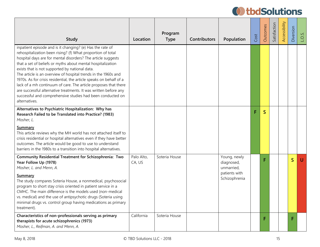| <b>Study</b>                                                                                                                                                                                                                                                                                                                                                                                                                                                                                                                                                                                                                                                             | Location             | Program<br><b>Type</b> | <b>Contributors</b> | Population                                                                 | Cost | Outcomes     | Satisfaction | Accessibility | Diversion    | $\overline{O}$ |
|--------------------------------------------------------------------------------------------------------------------------------------------------------------------------------------------------------------------------------------------------------------------------------------------------------------------------------------------------------------------------------------------------------------------------------------------------------------------------------------------------------------------------------------------------------------------------------------------------------------------------------------------------------------------------|----------------------|------------------------|---------------------|----------------------------------------------------------------------------|------|--------------|--------------|---------------|--------------|----------------|
| inpatient episode and is it changing? (e) Has the rate of<br>rehospitalization been rising? (f) What proportion of total<br>hospital days are for mental disorders? The article suggests<br>that a set of beliefs or myths about mental hospitalization<br>exists that is not supported by national data.<br>The article is an overview of hospital trends in the 1960s and<br>1970s. As for crisis residential, the article speaks on behalf of a<br>lack of a mh continuum of care. The article proposes that there<br>are successful alternative treatments. It was written before any<br>successful and comprehensive studies had been conducted on<br>alternatives. |                      |                        |                     |                                                                            |      |              |              |               |              |                |
| Alternatives to Psychiatric Hospitalization: Why has<br>Research Failed to be Translated into Practice? (1983)<br>Mosher, L.<br>Summary<br>This article reviews why the MH world has not attached itself to<br>crisis residential or hospital alternatives even if they have better<br>outcomes. The article would be good to use to understand<br>barriers in the 1980s to a transition into hospital alternatives.                                                                                                                                                                                                                                                     |                      |                        |                     |                                                                            | F    | $\mathsf{S}$ |              |               |              |                |
| <b>Community Residential Treatment for Schizophrenia: Two</b><br>Year Follow Up (1978)<br>Mosher, L. and Menn, A.<br>Summary<br>The study compares Soteria House, a nonmedical, psychosocial<br>program to short stay crisis oriented in patient service in a<br>CMHC. The main difference is the models used (non-medical<br>vs. medical) and the use of antipsychotic drugs (Soteria using<br>minimal drugs vs. control group having medications as primary<br>treatment).                                                                                                                                                                                             | Palo Alto,<br>CA, US | Soteria House          |                     | Young, newly<br>diagnosed,<br>unmarried,<br>patients with<br>Schizophrenia |      | F.           |              |               | $\mathsf{S}$ | $\mathsf{U}$   |
| Characteristics of non-professionals serving as primary<br>therapists for acute schizophrenics (1973)<br>Mosher, L., Reifman, A. and Menn, A.                                                                                                                                                                                                                                                                                                                                                                                                                                                                                                                            | California           | Soteria House          |                     |                                                                            |      | F.           |              |               |              |                |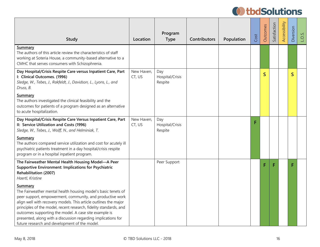| Study                                                                                                                                                                                                                                                                                                                                                                                                                                                     | Location             | Program<br><b>Type</b>            | <b>Contributors</b> | Population | Cost | Outcomes     | Satisfaction | Accessibility | Diversion   | LO <sub>S</sub> . |
|-----------------------------------------------------------------------------------------------------------------------------------------------------------------------------------------------------------------------------------------------------------------------------------------------------------------------------------------------------------------------------------------------------------------------------------------------------------|----------------------|-----------------------------------|---------------------|------------|------|--------------|--------------|---------------|-------------|-------------------|
| Summary<br>The authors of this article review the characteristics of staff<br>working at Soteria House, a community-based alternative to a<br>CMHC that serves consumers with Schizophrenia.                                                                                                                                                                                                                                                              |                      |                                   |                     |            |      |              |              |               |             |                   |
| Day Hospital/Crisis Respite Care versus Inpatient Care, Part<br>I: Clinical Outcomes. (1996)<br>Sledge, W., Tebes, J., Rakfeldt, J., Davidson, L., Lyons, L., and<br>Druss, B.                                                                                                                                                                                                                                                                            | New Haven,<br>CT, US | Day<br>Hospital/Crisis<br>Respite |                     |            |      | $\mathsf{S}$ |              |               | $\mathsf S$ |                   |
| Summary<br>The authors investigated the clinical feasibility and the<br>outcomes for patients of a program designed as an alternative<br>to acute hospitalization.                                                                                                                                                                                                                                                                                        |                      |                                   |                     |            |      |              |              |               |             |                   |
| Day Hospital/Crisis Respite Care Versus Inpatient Care, Part<br>II: Service Utilization and Costs (1996)<br>Sledge, W., Tebes, J., Wolff, N., and Helminiak, T.                                                                                                                                                                                                                                                                                           | New Haven,<br>CT, US | Day<br>Hospital/Crisis<br>Respite |                     |            | F    |              |              |               |             |                   |
| <b>Summary</b><br>The authors compared service utilization and cost for acutely ill<br>psychiatric patients treatment in a day hospital/crisis respite<br>program or in a hospital inpatient program.                                                                                                                                                                                                                                                     |                      |                                   |                     |            |      |              |              |               |             |                   |
| The Fairweather Mental Health Housing Model-A Peer<br><b>Supportive Environment: Implications for Psychiatric</b><br>Rehabilitation (2007)<br>Haertl, Kristine                                                                                                                                                                                                                                                                                            |                      | Peer Support                      |                     |            |      | F            | F            |               |             |                   |
| Summary<br>The Fairweather mental health housing model's basic tenets of<br>peer support, empowerment, community, and productive work<br>align well with recovery models. This article outlines the major<br>principles of the model, recent research, fidelity standards, and<br>outcomes supporting the model. A case site example is<br>presented, along with a discussion regarding implications for<br>future research and development of the model. |                      |                                   |                     |            |      |              |              |               |             |                   |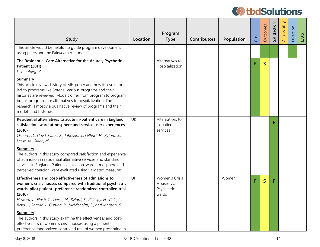| Study                                                                                                                                                                                                                                                                                                                                                          | Location  | Program<br><b>Type</b>                                      | <b>Contributors</b> | Population | Cost | Outcomes     | Satisfaction | Accessibility | Diversion | $\overline{O}$ |
|----------------------------------------------------------------------------------------------------------------------------------------------------------------------------------------------------------------------------------------------------------------------------------------------------------------------------------------------------------------|-----------|-------------------------------------------------------------|---------------------|------------|------|--------------|--------------|---------------|-----------|----------------|
| This article would be helpful to guide program development<br>using peers and the Fairweather model.                                                                                                                                                                                                                                                           |           |                                                             |                     |            |      |              |              |               |           |                |
| The Residential Care Alternative for the Acutely Psychotic<br><b>Patient (2011)</b><br>Lichtenberg, P                                                                                                                                                                                                                                                          |           | Alternatives to<br>Hospitalization                          |                     |            | F    | $\mathsf{S}$ |              |               |           |                |
| Summary<br>This article reviews history of MH policy and how its evolution<br>led to programs like Soteria. Various programs and their<br>histories are reviewed. Models differ from program to program<br>but all programs are alternatives to hospitalization. The<br>research is mostly a qualitative review of programs and their<br>models and histories. |           |                                                             |                     |            |      |              |              |               |           |                |
| Residential alternatives to acute in-patient care in England:<br>satisfaction, ward atmosphere and service user experiences<br>(2010)<br>Osborn, D., Lloyd-Evans, B., Johnson, S., Gilburt, H., Byford, S.,<br>Leese, M., Slade, M.                                                                                                                            | UK        | Alternatives to<br>in-patient<br>services                   |                     |            |      |              | F            |               |           |                |
| Summary<br>The authors in this study compared satisfaction and experience<br>of admission in residential alternative services and standard<br>services in England. Patient satisfaction, ward atmosphere and<br>perceived coercion were evaluated using validated measures.                                                                                    |           |                                                             |                     |            |      |              |              |               |           |                |
| Effectiveness and cost-effectiveness of admissions to<br>women's crisis houses compared with traditional psychiatric<br>wards: pilot patient -preference randomized controlled trial<br>(2010)<br>Howard, L., Flach, C., Leese, M., Byford, S., Killaspy, H., Cole, L.,<br>Betts, J., Sharac, J., Cutting, P., McNicholas, S., and Johnson, S.                 | <b>UK</b> | <b>Women's Crisis</b><br>Houses vs.<br>Psychiatric<br>wards |                     | Women      | F    | $\mathsf S$  | F            |               |           |                |
| Summary<br>The authors in this study examine the effectiveness and cost-<br>effectiveness of women's crisis houses using a patient-<br>preference randomized controlled trial of women presenting in                                                                                                                                                           |           |                                                             |                     |            |      |              |              |               |           |                |